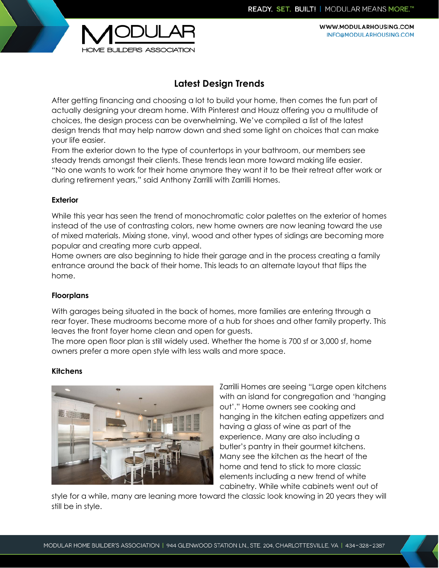

WWW.MODULARHOUSING.COM INFO@MODULARHOUSING.COM

# **Latest Design Trends**

After getting financing and choosing a lot to build your home, then comes the fun part of actually designing your dream home. With Pinterest and Houzz offering you a multitude of choices, the design process can be overwhelming. We've compiled a list of the latest design trends that may help narrow down and shed some light on choices that can make your life easier.

From the exterior down to the type of countertops in your bathroom, our members see steady trends amongst their clients. These trends lean more toward making life easier. "No one wants to work for their home anymore they want it to be their retreat after work or during retirement years," said Anthony Zarrilli with Zarrilli Homes.

### **Exterior**

While this year has seen the trend of monochromatic color palettes on the exterior of homes instead of the use of contrasting colors, new home owners are now leaning toward the use of mixed materials. Mixing stone, vinyl, wood and other types of sidings are becoming more popular and creating more curb appeal.

Home owners are also beginning to hide their garage and in the process creating a family entrance around the back of their home. This leads to an alternate layout that flips the home.

## **Floorplans**

With garages being situated in the back of homes, more families are entering through a rear foyer. These mudrooms become more of a hub for shoes and other family property. This leaves the front foyer home clean and open for guests.

The more open floor plan is still widely used. Whether the home is 700 sf or 3,000 sf, home owners prefer a more open style with less walls and more space.

#### **Kitchens**



Zarrilli Homes are seeing "Large open kitchens with an island for congregation and 'hanging out'." Home owners see cooking and hanging in the kitchen eating appetizers and having a glass of wine as part of the experience. Many are also including a butler's pantry in their gourmet kitchens. Many see the kitchen as the heart of the home and tend to stick to more classic elements including a new trend of white cabinetry. While white cabinets went out of

style for a while, many are leaning more toward the classic look knowing in 20 years they will still be in style.